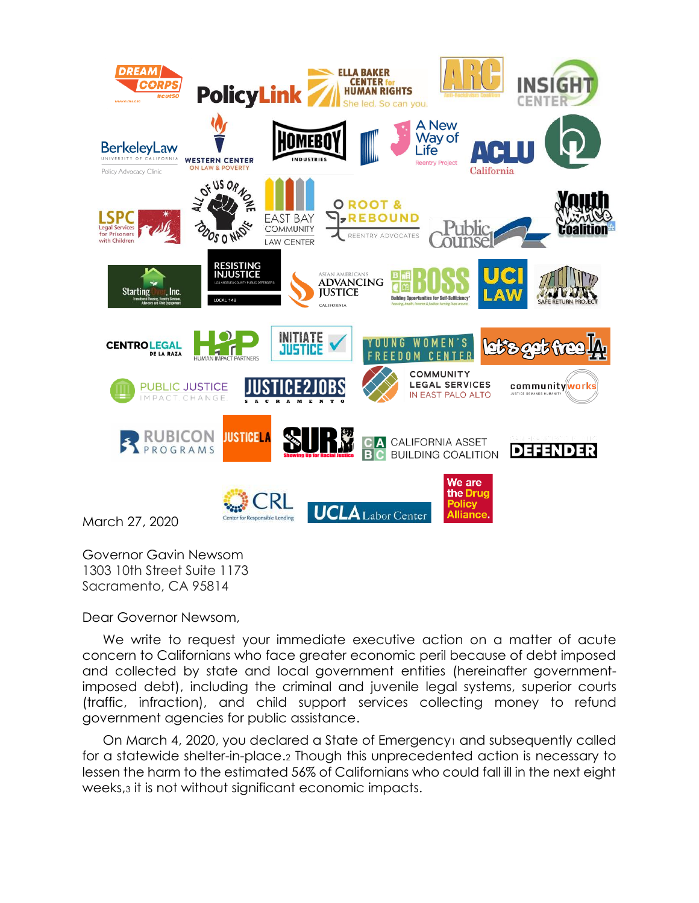

Governor Gavin Newsom 1303 10th Street Suite 1173 Sacramento, CA 95814

Dear Governor Newsom,

We write to request your immediate executive action on a matter of acute concern to Californians who face greater economic peril because of debt imposed and collected by state and local government entities (hereinafter governmentimposed debt), including the criminal and juvenile legal systems, superior courts (traffic, infraction), and child support services collecting money to refund government agencies for public assistance.

On March 4, 2020, you declared a State of Emergency<sup>1</sup> and subsequently called for a statewide shelter-in-place.<sup>2</sup> Though this unprecedented action is necessary to lessen the harm to the estimated 56% of Californians who could fall ill in the next eight weeks,<sup>3</sup> it is not without significant economic impacts.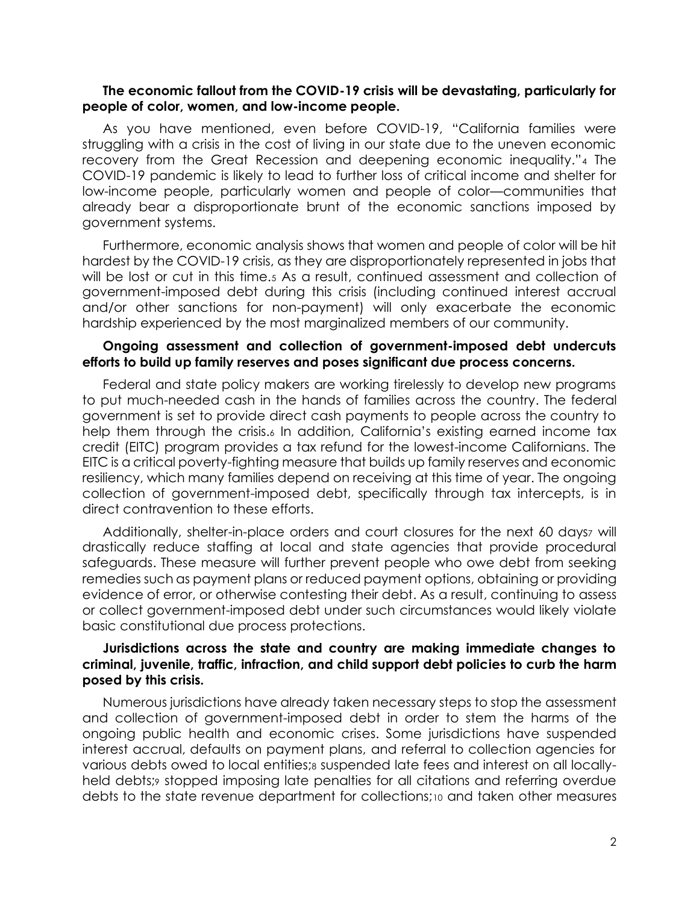### **The economic fallout from the COVID-19 crisis will be devastating, particularly for people of color, women, and low-income people.**

As you have mentioned, even before COVID-19, "California families were struggling with a crisis in the cost of living in our state due to the uneven economic recovery from the Great Recession and deepening economic inequality."<sup>4</sup> The COVID-19 pandemic is likely to lead to further loss of critical income and shelter for low-income people, particularly women and people of color—communities that already bear a disproportionate brunt of the economic sanctions imposed by government systems.

Furthermore, economic analysis shows that women and people of color will be hit hardest by the COVID-19 crisis, as they are disproportionately represented in jobs that will be lost or cut in this time.<sub>5</sub> As a result, continued assessment and collection of government-imposed debt during this crisis (including continued interest accrual and/or other sanctions for non-payment) will only exacerbate the economic hardship experienced by the most marginalized members of our community.

### **Ongoing assessment and collection of government-imposed debt undercuts efforts to build up family reserves and poses significant due process concerns.**

Federal and state policy makers are working tirelessly to develop new programs to put much-needed cash in the hands of families across the country. The federal government is set to provide direct cash payments to people across the country to help them through the crisis.<sub>6</sub> In addition, California's existing earned income tax credit (EITC) program provides a tax refund for the lowest-income Californians. The EITC is a critical poverty-fighting measure that builds up family reserves and economic resiliency, which many families depend on receiving at this time of year. The ongoing collection of government-imposed debt, specifically through tax intercepts, is in direct contravention to these efforts.

Additionally, shelter-in-place orders and court closures for the next 60 daysz will drastically reduce staffing at local and state agencies that provide procedural safeguards. These measure will further prevent people who owe debt from seeking remedies such as payment plans or reduced payment options, obtaining or providing evidence of error, or otherwise contesting their debt. As a result, continuing to assess or collect government-imposed debt under such circumstances would likely violate basic constitutional due process protections.

## **Jurisdictions across the state and country are making immediate changes to criminal, juvenile, traffic, infraction, and child support debt policies to curb the harm posed by this crisis.**

Numerous jurisdictions have already taken necessary steps to stop the assessment and collection of government-imposed debt in order to stem the harms of the ongoing public health and economic crises. Some jurisdictions have suspended interest accrual, defaults on payment plans, and referral to collection agencies for various debts owed to local entities;<sup>8</sup> suspended late fees and interest on all locallyheld debts; stopped imposing late penalties for all citations and referring overdue debts to the state revenue department for collections;<sup>10</sup> and taken other measures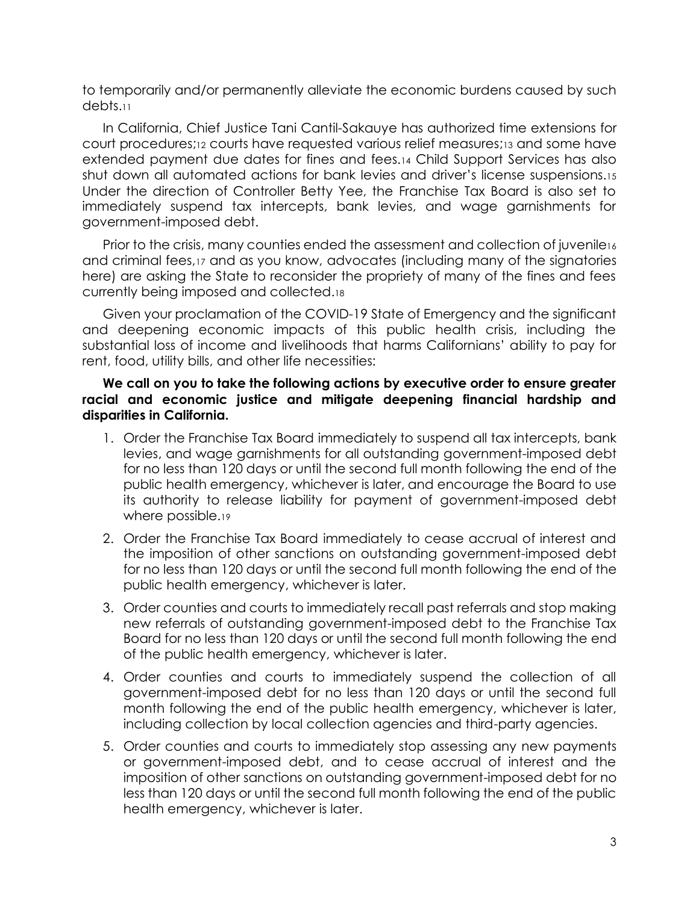to temporarily and/or permanently alleviate the economic burdens caused by such debts.<sup>11</sup>

In California, Chief Justice Tani Cantil-Sakauye has authorized time extensions for court procedures;<sup>12</sup> courts have requested various relief measures;<sup>13</sup> and some have extended payment due dates for fines and fees.<sup>14</sup> Child Support Services has also shut down all automated actions for bank levies and driver's license suspensions.<sup>15</sup> Under the direction of Controller Betty Yee, the Franchise Tax Board is also set to immediately suspend tax intercepts, bank levies, and wage garnishments for government-imposed debt.

Prior to the crisis, many counties ended the assessment and collection of juvenile16 and criminal fees,<sup>17</sup> and as you know, advocates (including many of the signatories here) are asking the State to reconsider the propriety of many of the fines and fees currently being imposed and collected.<sup>18</sup>

Given your proclamation of the COVID-19 State of Emergency and the significant and deepening economic impacts of this public health crisis, including the substantial loss of income and livelihoods that harms Californians' ability to pay for rent, food, utility bills, and other life necessities:

# **We call on you to take the following actions by executive order to ensure greater racial and economic justice and mitigate deepening financial hardship and disparities in California.**

- 1. Order the Franchise Tax Board immediately to suspend all tax intercepts, bank levies, and wage garnishments for all outstanding government-imposed debt for no less than 120 days or until the second full month following the end of the public health emergency, whichever is later, and encourage the Board to use its authority to release liability for payment of government-imposed debt where possible.<sup>19</sup>
- 2. Order the Franchise Tax Board immediately to cease accrual of interest and the imposition of other sanctions on outstanding government-imposed debt for no less than 120 days or until the second full month following the end of the public health emergency, whichever is later.
- 3. Order counties and courts to immediately recall past referrals and stop making new referrals of outstanding government-imposed debt to the Franchise Tax Board for no less than 120 days or until the second full month following the end of the public health emergency, whichever is later.
- 4. Order counties and courts to immediately suspend the collection of all government-imposed debt for no less than 120 days or until the second full month following the end of the public health emergency, whichever is later, including collection by local collection agencies and third-party agencies.
- 5. Order counties and courts to immediately stop assessing any new payments or government-imposed debt, and to cease accrual of interest and the imposition of other sanctions on outstanding government-imposed debt for no less than 120 days or until the second full month following the end of the public health emergency, whichever is later.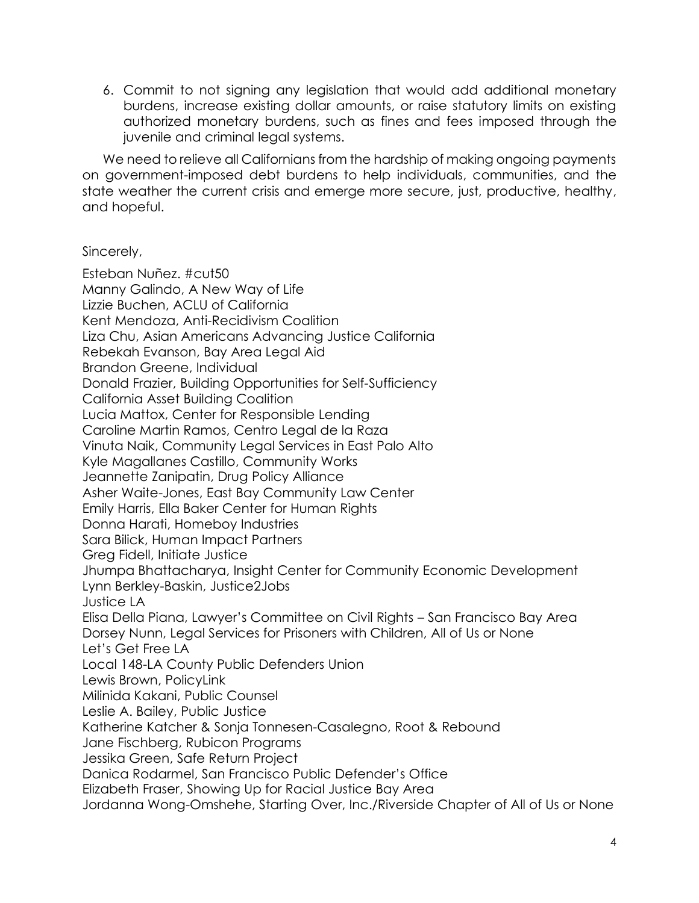6. Commit to not signing any legislation that would add additional monetary burdens, increase existing dollar amounts, or raise statutory limits on existing authorized monetary burdens, such as fines and fees imposed through the juvenile and criminal legal systems.

We need to relieve all Californians from the hardship of making ongoing payments on government-imposed debt burdens to help individuals, communities, and the state weather the current crisis and emerge more secure, just, productive, healthy, and hopeful.

# Sincerely,

Esteban Nuñez. #cut50 Manny Galindo, A New Way of Life Lizzie Buchen, ACLU of California Kent Mendoza, Anti-Recidivism Coalition Liza Chu, Asian Americans Advancing Justice California Rebekah Evanson, Bay Area Legal Aid Brandon Greene, Individual Donald Frazier, Building Opportunities for Self-Sufficiency California Asset Building Coalition Lucia Mattox, Center for Responsible Lending Caroline Martin Ramos, Centro Legal de la Raza Vinuta Naik, Community Legal Services in East Palo Alto Kyle Magallanes Castillo, Community Works Jeannette Zanipatin, Drug Policy Alliance Asher Waite-Jones, East Bay Community Law Center Emily Harris, Ella Baker Center for Human Rights Donna Harati, Homeboy Industries Sara Bilick, Human Impact Partners Greg Fidell, Initiate Justice Jhumpa Bhattacharya, Insight Center for Community Economic Development Lynn Berkley-Baskin, Justice2Jobs Justice LA Elisa Della Piana, Lawyer's Committee on Civil Rights – San Francisco Bay Area Dorsey Nunn, Legal Services for Prisoners with Children, All of Us or None Let's Get Free LA Local 148-LA County Public Defenders Union Lewis Brown, PolicyLink Milinida Kakani, Public Counsel Leslie A. Bailey, Public Justice Katherine Katcher & Sonja Tonnesen-Casalegno, Root & Rebound Jane Fischberg, Rubicon Programs Jessika Green, Safe Return Project Danica Rodarmel, San Francisco Public Defender's Office Elizabeth Fraser, Showing Up for Racial Justice Bay Area Jordanna Wong-Omshehe, Starting Over, Inc./Riverside Chapter of All of Us or None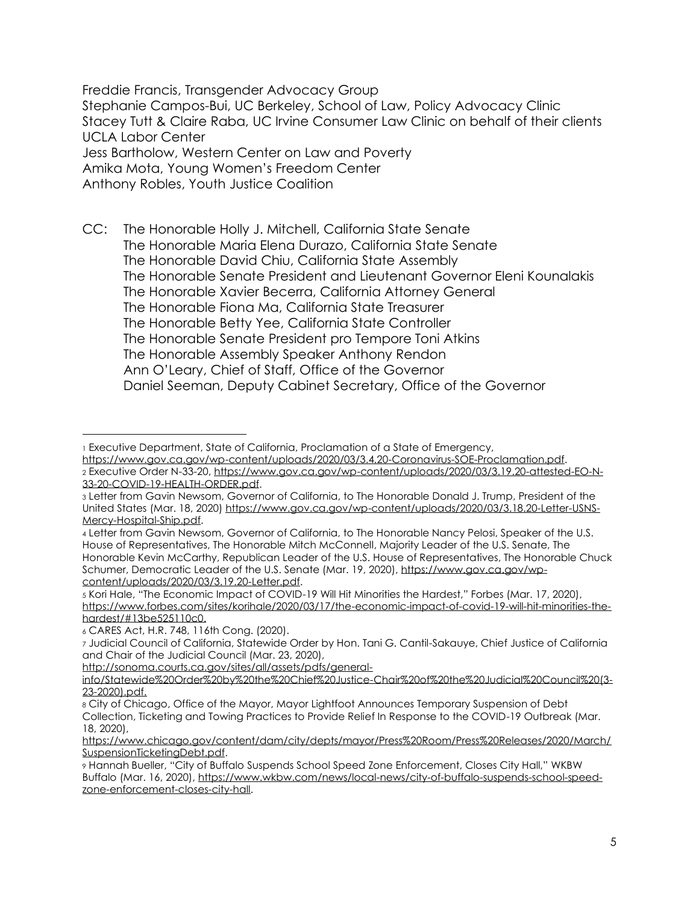Freddie Francis, Transgender Advocacy Group Stephanie Campos-Bui, UC Berkeley, School of Law, Policy Advocacy Clinic Stacey Tutt & Claire Raba, UC Irvine Consumer Law Clinic on behalf of their clients UCLA Labor Center Jess Bartholow, Western Center on Law and Poverty Amika Mota, Young Women's Freedom Center

Anthony Robles, Youth Justice Coalition

CC: The Honorable Holly J. Mitchell, California State Senate The Honorable Maria Elena Durazo, California State Senate The Honorable David Chiu, California State Assembly The Honorable Senate President and Lieutenant Governor Eleni Kounalakis The Honorable Xavier Becerra, California Attorney General The Honorable Fiona Ma, California State Treasurer The Honorable Betty Yee, California State Controller The Honorable Senate President pro Tempore Toni Atkins The Honorable Assembly Speaker Anthony Rendon Ann O'Leary, Chief of Staff, Office of the Governor Daniel Seeman, Deputy Cabinet Secretary, Office of the Governor

<sup>6</sup> CARES Act, H.R. 748, 116th Cong. (2020).

[http://sonoma.courts.ca.gov/sites/all/assets/pdfs/general-](http://sonoma.courts.ca.gov/sites/all/assets/pdfs/general-info/Statewide%20Order%20by%20the%20Chief%20Justice-Chair%20of%20the%20Judicial%20Council%20(3-23-2020).pdf)

<sup>1</sup> Executive Department, State of California, Proclamation of a State of Emergency, [https://www.gov.ca.gov/wp-content/uploads/2020/03/3.4.20-Coronavirus-SOE-Proclamation.pdf.](https://www.gov.ca.gov/wp-content/uploads/2020/03/3.4.20-Coronavirus-SOE-Proclamation.pdf)

<sup>2</sup> Executive Order N-33-20[, https://www.gov.ca.gov/wp-content/uploads/2020/03/3.19.20-attested-EO-N-](https://www.gov.ca.gov/wp-content/uploads/2020/03/3.19.20-attested-EO-N-33-20-COVID-19-HEALTH-ORDER.pdf)[33-20-COVID-19-HEALTH-ORDER.pdf.](https://www.gov.ca.gov/wp-content/uploads/2020/03/3.19.20-attested-EO-N-33-20-COVID-19-HEALTH-ORDER.pdf)

<sup>3</sup> Letter from Gavin Newsom, Governor of California, to The Honorable Donald J. Trump, President of the United States (Mar. 18, 2020[\) https://www.gov.ca.gov/wp-content/uploads/2020/03/3.18.20-Letter-USNS-](https://www.gov.ca.gov/wp-content/uploads/2020/03/3.18.20-Letter-USNS-Mercy-Hospital-Ship.pdf)[Mercy-Hospital-Ship.pdf.](https://www.gov.ca.gov/wp-content/uploads/2020/03/3.18.20-Letter-USNS-Mercy-Hospital-Ship.pdf)

<sup>4</sup> Letter from Gavin Newsom, Governor of California, to The Honorable Nancy Pelosi, Speaker of the U.S. House of Representatives, The Honorable Mitch McConnell, Majority Leader of the U.S. Senate, The Honorable Kevin McCarthy, Republican Leader of the U.S. House of Representatives, The Honorable Chuck Schumer, Democratic Leader of the U.S. Senate (Mar. 19, 2020), [https://www.gov.ca.gov/wp](https://www.gov.ca.gov/wp-content/uploads/2020/03/3.19.20-Letter.pdf)[content/uploads/2020/03/3.19.20-Letter.pdf.](https://www.gov.ca.gov/wp-content/uploads/2020/03/3.19.20-Letter.pdf)

<sup>5</sup> Kori Hale, "The Economic Impact of COVID-19 Will Hit Minorities the Hardest," Forbes (Mar. 17, 2020), [https://www.forbes.com/sites/korihale/2020/03/17/the-economic-impact-of-covid-19-will-hit-minorities-the](https://www.forbes.com/sites/korihale/2020/03/17/the-economic-impact-of-covid-19-will-hit-minorities-the-hardest/#13be525110c0)[hardest/#13be525110c0.](https://www.forbes.com/sites/korihale/2020/03/17/the-economic-impact-of-covid-19-will-hit-minorities-the-hardest/#13be525110c0)

<sup>7</sup> Judicial Council of California, Statewide Order by Hon. Tani G. Cantil-Sakauye, Chief Justice of California and Chair of the Judicial Council (Mar. 23, 2020),

[info/Statewide%20Order%20by%20the%20Chief%20Justice-Chair%20of%20the%20Judicial%20Council%20\(3-](http://sonoma.courts.ca.gov/sites/all/assets/pdfs/general-info/Statewide%20Order%20by%20the%20Chief%20Justice-Chair%20of%20the%20Judicial%20Council%20(3-23-2020).pdf) [23-2020\).pdf.](http://sonoma.courts.ca.gov/sites/all/assets/pdfs/general-info/Statewide%20Order%20by%20the%20Chief%20Justice-Chair%20of%20the%20Judicial%20Council%20(3-23-2020).pdf)

<sup>8</sup> City of Chicago, Office of the Mayor, Mayor Lightfoot Announces Temporary Suspension of Debt Collection, Ticketing and Towing Practices to Provide Relief In Response to the COVID-19 Outbreak (Mar. 18, 2020),

[https://www.chicago.gov/content/dam/city/depts/mayor/Press%20Room/Press%20Releases/2020/March/](https://www.chicago.gov/content/dam/city/depts/mayor/Press%20Room/Press%20Releases/2020/March/SuspensionTicketingDebt.pdf) [SuspensionTicketingDebt.pdf.](https://www.chicago.gov/content/dam/city/depts/mayor/Press%20Room/Press%20Releases/2020/March/SuspensionTicketingDebt.pdf)

<sup>9</sup> Hannah Bueller, "City of Buffalo Suspends School Speed Zone Enforcement, Closes City Hall," WKBW Buffalo (Mar. 16, 2020), [https://www.wkbw.com/news/local-news/city-of-buffalo-suspends-school-speed](https://www.wkbw.com/news/local-news/city-of-buffalo-suspends-school-speed-zone-enforcement-closes-city-hall)[zone-enforcement-closes-city-hall.](https://www.wkbw.com/news/local-news/city-of-buffalo-suspends-school-speed-zone-enforcement-closes-city-hall)